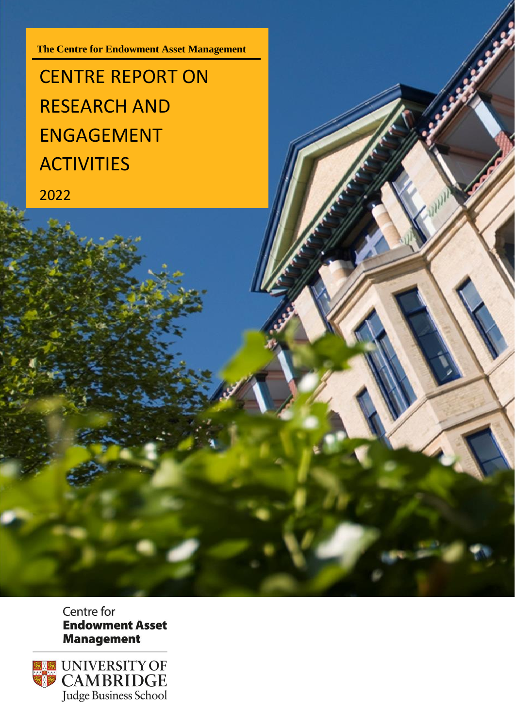**The Centre for Endowment Asset Management**

# CENTRE REPORT ON RESEARCH AND ENGAGEMENT **ACTIVITIES**

2022

Centre for **Endowment Asset Management** 

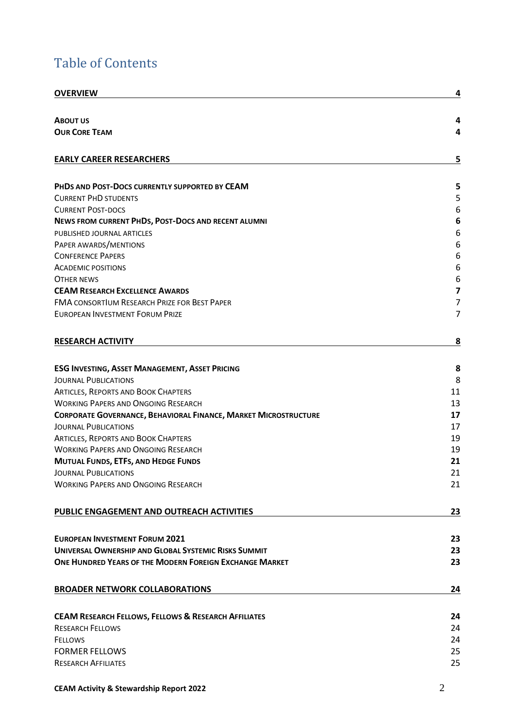## Table of Contents

| <b>OVERVIEW</b>                                                        | 4         |
|------------------------------------------------------------------------|-----------|
|                                                                        |           |
| <b>ABOUT US</b>                                                        | 4         |
| <b>OUR CORE TEAM</b>                                                   | 4         |
| <b>EARLY CAREER RESEARCHERS</b>                                        | 5         |
|                                                                        |           |
| PHDS AND POST-DOCS CURRENTLY SUPPORTED BY CEAM                         | 5         |
| <b>CURRENT PHD STUDENTS</b>                                            | 5         |
| <b>CURRENT POST-DOCS</b>                                               | 6         |
| NEWS FROM CURRENT PHDS, POST-DOCS AND RECENT ALUMNI                    | 6         |
| PUBLISHED JOURNAL ARTICLES                                             | 6         |
| PAPER AWARDS/MENTIONS                                                  | 6         |
| <b>CONFERENCE PAPERS</b>                                               | 6         |
| <b>ACADEMIC POSITIONS</b>                                              | 6         |
| OTHER NEWS                                                             | 6         |
| <b>CEAM RESEARCH EXCELLENCE AWARDS</b>                                 | 7         |
| <b>FMA CONSORTIUM RESEARCH PRIZE FOR BEST PAPER</b>                    | 7         |
| <b>EUROPEAN INVESTMENT FORUM PRIZE</b>                                 | 7         |
| <b>RESEARCH ACTIVITY</b>                                               | <u>8</u>  |
|                                                                        |           |
| <b>ESG INVESTING, ASSET MANAGEMENT, ASSET PRICING</b>                  | 8         |
| <b>JOURNAL PUBLICATIONS</b>                                            | 8         |
| <b>ARTICLES, REPORTS AND BOOK CHAPTERS</b>                             | 11        |
| <b>WORKING PAPERS AND ONGOING RESEARCH</b>                             | 13        |
| <b>CORPORATE GOVERNANCE, BEHAVIORAL FINANCE, MARKET MICROSTRUCTURE</b> | 17        |
| <b>JOURNAL PUBLICATIONS</b>                                            | 17        |
| <b>ARTICLES, REPORTS AND BOOK CHAPTERS</b>                             | 19        |
| <b>WORKING PAPERS AND ONGOING RESEARCH</b>                             | 19        |
| <b>MUTUAL FUNDS, ETFS, AND HEDGE FUNDS</b>                             | 21        |
| JOURNAL PUBLICATIONS                                                   | 21        |
| <b>WORKING PAPERS AND ONGOING RESEARCH</b>                             | 21        |
| PUBLIC ENGAGEMENT AND OUTREACH ACTIVITIES                              | <u>23</u> |
| <b>EUROPEAN INVESTMENT FORUM 2021</b>                                  | 23        |
| UNIVERSAL OWNERSHIP AND GLOBAL SYSTEMIC RISKS SUMMIT                   | 23        |
| ONE HUNDRED YEARS OF THE MODERN FOREIGN EXCHANGE MARKET                | 23        |
| <b>BROADER NETWORK COLLABORATIONS</b>                                  | 24        |
|                                                                        |           |
| <b>CEAM RESEARCH FELLOWS, FELLOWS &amp; RESEARCH AFFILIATES</b>        | 24        |
| <b>RESEARCH FELLOWS</b>                                                | 24        |
| <b>FELLOWS</b>                                                         | 24        |
| <b>FORMER FELLOWS</b>                                                  | 25        |
| <b>RESEARCH AFFILIATES</b>                                             | 25        |
|                                                                        |           |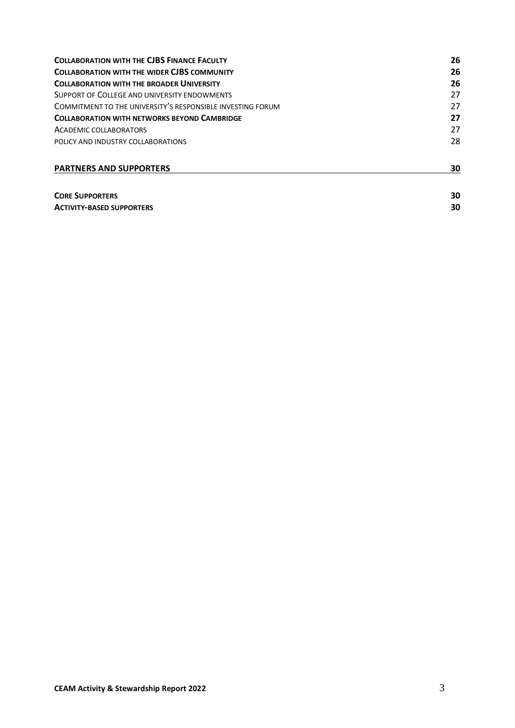| <b>COLLABORATION WITH THE CJBS FINANCE FACULTY</b>                                               | 26 |
|--------------------------------------------------------------------------------------------------|----|
| <b>COLLABORATION WITH THE WIDER CJBS COMMUNITY</b>                                               | 26 |
| <b>COLLABORATION WITH THE BROADER UNIVERSITY</b><br>SUPPORT OF COLLEGE AND UNIVERSITY ENDOWMENTS | 26 |
|                                                                                                  | 27 |
| COMMITMENT TO THE UNIVERSITY'S RESPONSIBLE INVESTING FORUM                                       | 27 |
| <b>COLLABORATION WITH NETWORKS BEYOND CAMBRIDGE</b><br>ACADEMIC COLLABORATORS                    | 27 |
|                                                                                                  | 27 |
| POLICY AND INDUSTRY COLLABORATIONS                                                               | 28 |
| <b>PARTNERS AND SUPPORTERS</b>                                                                   | 30 |
| <b>CORE SUPPORTERS</b>                                                                           | 30 |

**ACTIVITY-[BASED SUPPORTERS](#page-29-2) 30**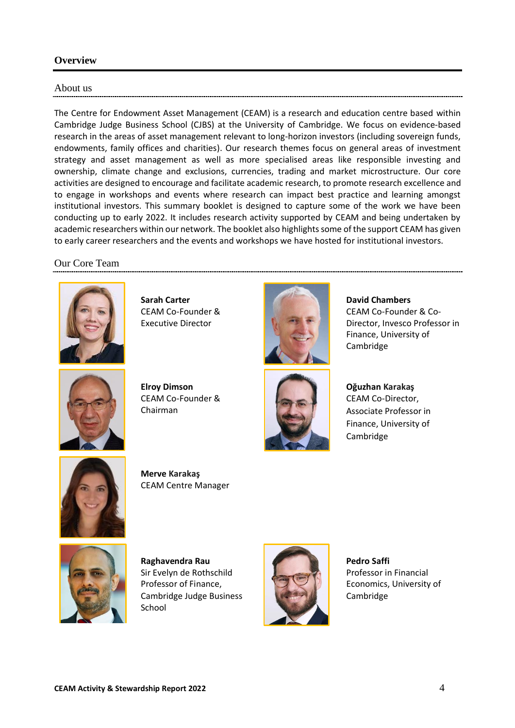## <span id="page-3-0"></span>**Overview**

#### <span id="page-3-1"></span>About us

The Centre for Endowment Asset Management (CEAM) is a research and education centre based within Cambridge Judge Business School (CJBS) at the University of Cambridge. We focus on evidence-based research in the areas of asset management relevant to long-horizon investors (including sovereign funds, endowments, family offices and charities). Our research themes focus on general areas of investment strategy and asset management as well as more specialised areas like responsible investing and ownership, climate change and exclusions, currencies, trading and market microstructure. Our core activities are designed to encourage and facilitate academic research, to promote research excellence and to engage in workshops and events where research can impact best practice and learning amongst institutional investors. This summary booklet is designed to capture some of the work we have been conducting up to early 2022. It includes research activity supported by CEAM and being undertaken by academic researchers within our network. The booklet also highlights some of the support CEAM has given to early career researchers and the events and workshops we have hosted for institutional investors.

#### <span id="page-3-2"></span>Our Core Team



**Sarah Carter** CEAM Co-Founder & Executive Director



**Elroy Dimson** CEAM Co-Founder & Chairman





**David Chambers** CEAM Co-Founder & Co-Director, Invesco Professor in Finance, University of Cambridge

**Oğuzhan Karakaş**

CEAM Co-Director, Associate Professor in Finance, University of Cambridge



**Merve Karakaş** CEAM Centre Manager



**Raghavendra Rau** Sir Evelyn de Rothschild Professor of Finance, Cambridge Judge Business **School** 



**Pedro Saffi** Professor in Financial Economics, University of Cambridge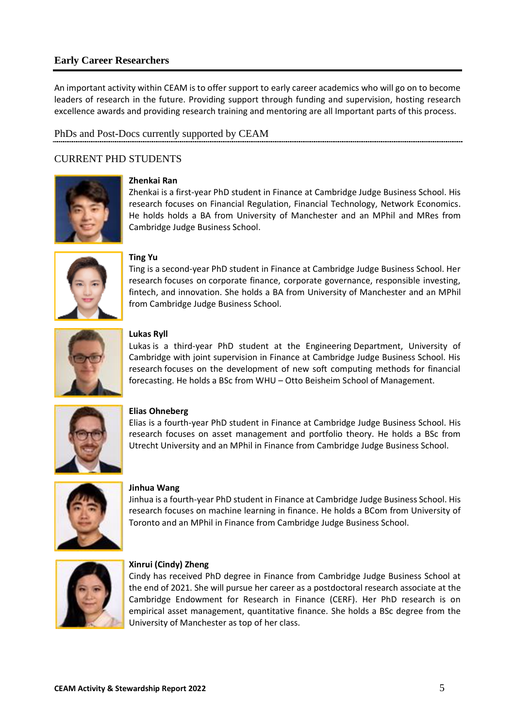## <span id="page-4-0"></span>**Early Career Researchers**

An important activity within CEAM is to offer support to early career academics who will go on to become leaders of research in the future. Providing support through funding and supervision, hosting research excellence awards and providing research training and mentoring are all Important parts of this process.

## <span id="page-4-1"></span>PhDs and Post-Docs currently supported by CEAM

## <span id="page-4-2"></span>CURRENT PHD STUDENTS



#### **Zhenkai Ran**

Zhenkai is a first-year PhD student in Finance at Cambridge Judge Business School. His research focuses on Financial Regulation, Financial Technology, Network Economics. He holds holds a BA from University of Manchester and an MPhil and MRes from Cambridge Judge Business School.



#### **Ting Yu**

Ting is a second-year PhD student in Finance at Cambridge Judge Business School. Her research focuses on corporate finance, corporate governance, responsible investing, fintech, and innovation. She holds a BA from University of Manchester and an MPhil from Cambridge Judge Business School.



#### **Lukas Ryll**

Lukas is a third-year PhD student at the Engineering Department, University of Cambridge with joint supervision in Finance at Cambridge Judge Business School. His research focuses on the development of new soft computing methods for financial forecasting. He holds a BSc from WHU – Otto Beisheim School of Management.



#### **Elias Ohneberg**

Elias is a fourth-year PhD student in Finance at Cambridge Judge Business School. His research focuses on asset management and portfolio theory. He holds a BSc from Utrecht University and an MPhil in Finance from Cambridge Judge Business School.



#### **Jinhua Wang**

Jinhua is a fourth-year PhD student in Finance at Cambridge Judge Business School. His research focuses on machine learning in finance. He holds a BCom from University of Toronto and an MPhil in Finance from Cambridge Judge Business School.



#### **Xinrui (Cindy) Zheng**

Cindy has received PhD degree in Finance from Cambridge Judge Business School at the end of 2021. She will pursue her career as a postdoctoral research associate at the Cambridge Endowment for Research in Finance (CERF). Her PhD research is on empirical asset management, quantitative finance. She holds a BSc degree from the University of Manchester as top of her class.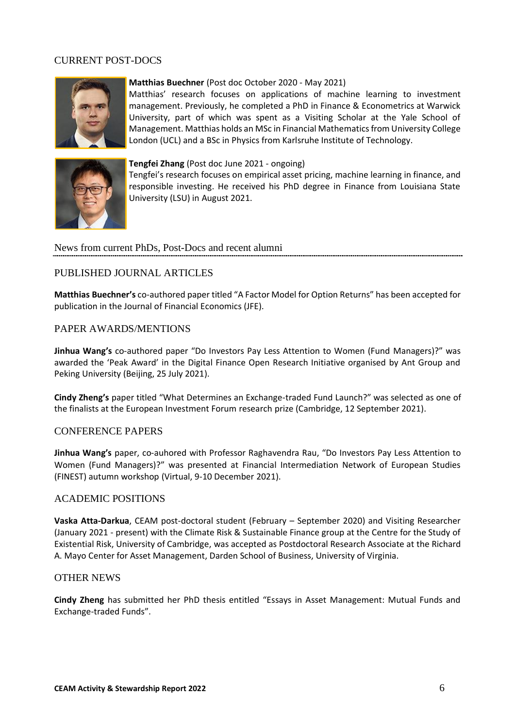## <span id="page-5-0"></span>CURRENT POST-DOCS



#### **Matthias Buechner** (Post doc October 2020 - May 2021)

Matthias' research focuses on applications of machine learning to investment management. Previously, he completed a PhD in Finance & Econometrics at Warwick University, part of which was spent as a Visiting Scholar at the Yale School of Management. Matthias holds an MSc in Financial Mathematics from University College London (UCL) and a BSc in Physics from Karlsruhe Institute of Technology.



#### **Tengfei Zhang** (Post doc June 2021 - ongoing)

Tengfei's research focuses on empirical asset pricing, machine learning in finance, and responsible investing. He received his PhD degree in Finance from Louisiana State University (LSU) in August 2021.

<span id="page-5-1"></span>News from current PhDs, Post-Docs and recent alumni

#### <span id="page-5-2"></span>PUBLISHED JOURNAL ARTICLES

**Matthias Buechner's** co-authored paper titled "A Factor Model for Option Returns" has been accepted for publication in the Journal of Financial Economics (JFE).

#### <span id="page-5-3"></span>PAPER AWARDS/MENTIONS

**Jinhua Wang's** co-authored paper "Do Investors Pay Less Attention to Women (Fund Managers)?" was awarded the 'Peak Award' in the Digital Finance Open Research Initiative organised by Ant Group and Peking University (Beijing, 25 July 2021).

**Cindy Zheng's** paper titled "What Determines an Exchange-traded Fund Launch?" was selected as one of the finalists at the European Investment Forum research prize (Cambridge, 12 September 2021).

#### <span id="page-5-4"></span>CONFERENCE PAPERS

**Jinhua Wang's** paper, co-auhored with Professor Raghavendra Rau, "Do Investors Pay Less Attention to Women (Fund Managers)?" was presented at Financial Intermediation Network of European Studies (FINEST) autumn workshop (Virtual, 9-10 December 2021).

#### <span id="page-5-5"></span>ACADEMIC POSITIONS

**Vaska Atta-Darkua**, CEAM post-doctoral student (February – September 2020) and Visiting Researcher (January 2021 - present) with the Climate Risk & Sustainable Finance group at the Centre for the Study of Existential Risk, University of Cambridge, was accepted as Postdoctoral Research Associate at the Richard A. Mayo Center for Asset Management, Darden School of Business, University of Virginia.

#### <span id="page-5-6"></span>OTHER NEWS

**Cindy Zheng** has submitted her PhD thesis entitled "Essays in Asset Management: Mutual Funds and Exchange-traded Funds".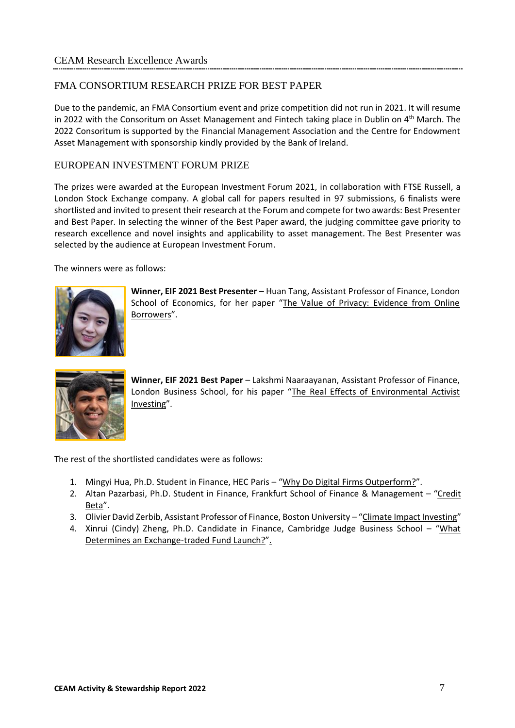## <span id="page-6-1"></span><span id="page-6-0"></span>FMA CONSORTIUM RESEARCH PRIZE FOR BEST PAPER

Due to the pandemic, an FMA Consortium event and prize competition did not run in 2021. It will resume in 2022 with the Consoritum on Asset Management and Fintech taking place in Dublin on 4<sup>th</sup> March. The 2022 Consoritum is supported by the Financial Management Association and the Centre for Endowment Asset Management with sponsorship kindly provided by the Bank of Ireland.

## <span id="page-6-2"></span>EUROPEAN INVESTMENT FORUM PRIZE

The prizes were awarded at the European Investment Forum 2021, in collaboration with FTSE Russell, a London Stock Exchange company. A global call for papers resulted in 97 submissions, 6 finalists were shortlisted and invited to present their research at the Forum and compete for two awards: Best Presenter and Best Paper. In selecting the winner of the Best Paper award, the judging committee gave priority to research excellence and novel insights and applicability to asset management. The Best Presenter was selected by the audience at European Investment Forum.

The winners were as follows:



**Winner, EIF 2021 Best Presenter** – Huan Tang, Assistant Professor of Finance, London School of Economics, for her paper "[The Value of Privacy: Evidence from Online](https://papers.ssrn.com/sol3/papers.cfm?abstract_id=3880119)  [Borrowers](https://papers.ssrn.com/sol3/papers.cfm?abstract_id=3880119)".



**Winner, EIF 2021 Best Paper** – Lakshmi Naaraayanan, Assistant Professor of Finance, London Business School, for his paper "The Real Effects of Environmental Activist [Investing](https://papers.ssrn.com/sol3/papers.cfm?abstract_id=3483692)".

The rest of the shortlisted candidates were as follows:

- 1. Mingyi Hua, Ph.D. Student in Finance, HEC Paris "[Why Do Digital Firms Outperform?](https://papers.ssrn.com/sol3/papers.cfm?abstract_id=3886864)".
- 2. Altan Pazarbasi, Ph.D. Student in Finance, Frankfurt School of Finance & Management "[Credit](https://papers.ssrn.com/sol3/papers.cfm?abstract_id=3223423)  [Beta](https://papers.ssrn.com/sol3/papers.cfm?abstract_id=3223423)".
- 3. Olivier David Zerbib, Assistant Professor of Finance, Boston University "[Climate Impact Investing](https://papers.ssrn.com/sol3/papers.cfm?abstract_id=3562534)"
- 4. Xinrui (Cindy) Zheng, Ph.D. Candidate in Finance, Cambridge Judge Business School "[What](https://papers.ssrn.com/sol3/papers.cfm?abstract_id=3810120)  [Determines an Exchange-traded Fund Launch?](https://papers.ssrn.com/sol3/papers.cfm?abstract_id=3810120)".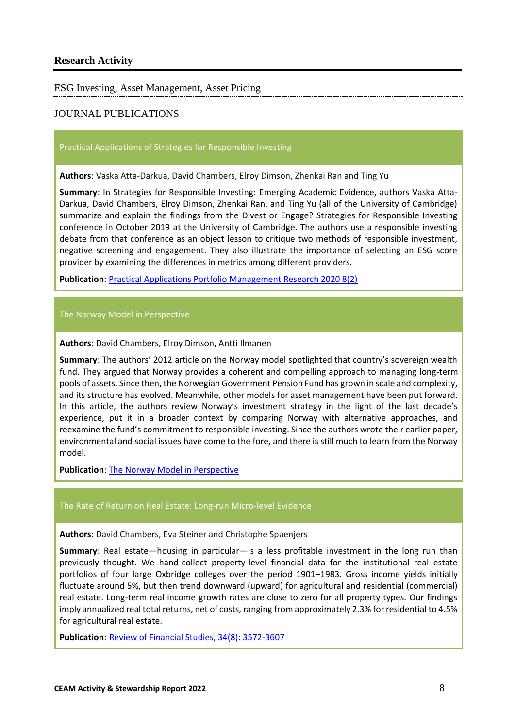<span id="page-7-1"></span><span id="page-7-0"></span>ESG Investing, Asset Management, Asset Pricing

## <span id="page-7-2"></span>JOURNAL PUBLICATIONS

#### Practical Applications of Strategies for Responsible Investing

**Authors**: Vaska Atta-Darkua, David Chambers, Elroy Dimson, Zhenkai Ran and Ting Yu

**Summary**: In Strategies for Responsible Investing: Emerging Academic Evidence, authors Vaska Atta-Darkua, David Chambers, Elroy Dimson, Zhenkai Ran, and Ting Yu (all of the University of Cambridge) summarize and explain the findings from the Divest or Engage? Strategies for Responsible Investing conference in October 2019 at the University of Cambridge. The authors use a responsible investing debate from that conference as an object lesson to critique two methods of responsible investment, negative screening and engagement. They also illustrate the importance of selecting an ESG score provider by examining the differences in metrics among different providers.

**Publication**[: Practical Applications Portfolio Management Research](https://pa.pm-research.com/content/8/2/1.36) 2020 8(2)

#### The Norway Model in Perspective

**Authors**: David Chambers, Elroy Dimson, Antti Ilmanen

**Summary**: The authors' 2012 article on the Norway model spotlighted that country's sovereign wealth fund. They argued that Norway provides a coherent and compelling approach to managing long-term pools of assets. Since then, the Norwegian Government Pension Fund has grown in scale and complexity, and its structure has evolved. Meanwhile, other models for asset management have been put forward. In this article, the authors review Norway's investment strategy in the light of the last decade's experience, put it in a broader context by comparing Norway with alternative approaches, and reexamine the fund's commitment to responsible investing. Since the authors wrote their earlier paper, environmental and social issues have come to the fore, and there is still much to learn from the Norway model.

**Publication**: [The Norway Model in Perspective](https://jpm.pm-research.com/content/47/5/178)

#### The Rate of Return on Real Estate: Long-run Micro-level Evidence

**Authors**: David Chambers, Eva Steiner and Christophe Spaenjers

**Summary**: Real estate—housing in particular—is a less profitable investment in the long run than previously thought. We hand-collect property-level financial data for the institutional real estate portfolios of four large Oxbridge colleges over the period 1901–1983. Gross income yields initially fluctuate around 5%, but then trend downward (upward) for agricultural and residential (commercial) real estate. Long-term real income growth rates are close to zero for all property types. Our findings imply annualized real total returns, net of costs, ranging from approximately 2.3% for residential to 4.5% for agricultural real estate.

**Publication**: [Review of Financial Studies, 34\(8\): 3572-3607](https://papers.ssrn.com/sol3/papers.cfm?abstract_id=3407236)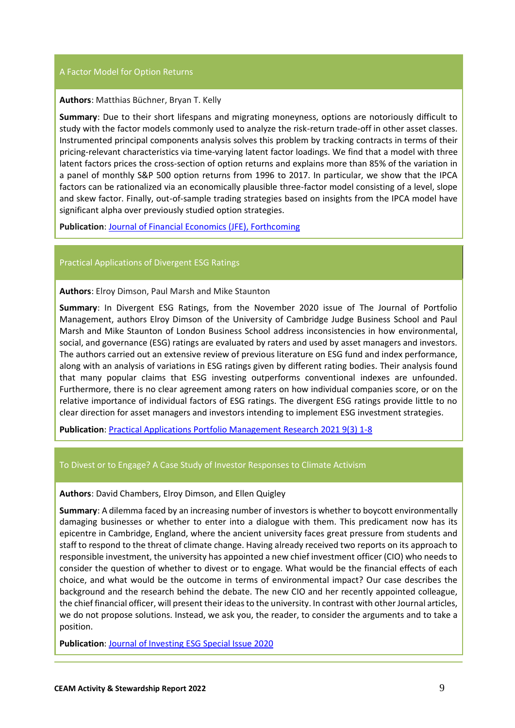#### A Factor Model for Option Returns

#### **Authors**: Matthias Büchner, Bryan T. Kelly

**Summary**: Due to their short lifespans and migrating moneyness, options are notoriously difficult to study with the factor models commonly used to analyze the risk-return trade-off in other asset classes. Instrumented principal components analysis solves this problem by tracking contracts in terms of their pricing-relevant characteristics via time-varying latent factor loadings. We find that a model with three latent factors prices the cross-section of option returns and explains more than 85% of the variation in a panel of monthly S&P 500 option returns from 1996 to 2017. In particular, we show that the IPCA factors can be rationalized via an economically plausible three-factor model consisting of a level, slope and skew factor. Finally, out-of-sample trading strategies based on insights from the IPCA model have significant alpha over previously studied option strategies.

**Publication**[: Journal of Financial Economics \(JFE\), Forthcoming](https://papers.ssrn.com/sol3/papers.cfm?abstract_id=3444232)

#### Practical Applications of Divergent ESG Ratings

**Authors**: Elroy Dimson, Paul Marsh and Mike Staunton

**Summary**: In Divergent ESG Ratings, from the November 2020 issue of The Journal of Portfolio Management, authors Elroy Dimson of the University of Cambridge Judge Business School and Paul Marsh and Mike Staunton of London Business School address inconsistencies in how environmental, social, and governance (ESG) ratings are evaluated by raters and used by asset managers and investors. The authors carried out an extensive review of previous literature on ESG fund and index performance, along with an analysis of variations in ESG ratings given by different rating bodies. Their analysis found that many popular claims that ESG investing outperforms conventional indexes are unfounded. Furthermore, there is no clear agreement among raters on how individual companies score, or on the relative importance of individual factors of ESG ratings. The divergent ESG ratings provide little to no clear direction for asset managers and investors intending to implement ESG investment strategies.

**Publication**[: Practical Applications Portfolio Management Research](https://pa.pm-research.com/content/9/3/1.14) 2021 9(3) 1-8

#### To Divest or to Engage? A Case Study of Investor Responses to Climate Activism

**Authors**: David Chambers, Elroy Dimson, and Ellen Quigley

**Summary**: A dilemma faced by an increasing number of investors is whether to boycott environmentally damaging businesses or whether to enter into a dialogue with them. This predicament now has its epicentre in Cambridge, England, where the ancient university faces great pressure from students and staff to respond to the threat of climate change. Having already received two reports on its approach to responsible investment, the university has appointed a new chief investment officer (CIO) who needs to consider the question of whether to divest or to engage. What would be the financial effects of each choice, and what would be the outcome in terms of environmental impact? Our case describes the background and the research behind the debate. The new CIO and her recently appointed colleague, the chief financial officer, will present their ideas to the university. In contrast with other Journal articles, we do not propose solutions. Instead, we ask you, the reader, to consider the arguments and to take a position.

**Publication**[: Journal of Investing ESG Special Issue 2020](https://joi.pm-research.com/content/29/2/10)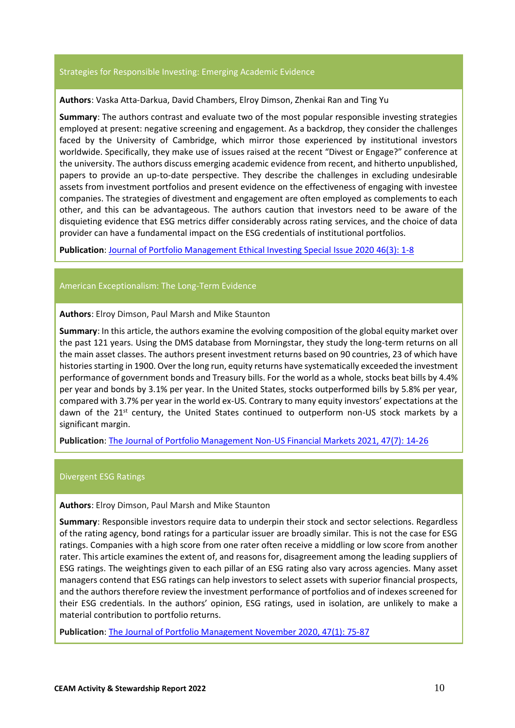#### Strategies for Responsible Investing: Emerging Academic Evidence

#### **Authors**: Vaska Atta-Darkua, David Chambers, Elroy Dimson, Zhenkai Ran and Ting Yu

**Summary**: The authors contrast and evaluate two of the most popular responsible investing strategies employed at present: negative screening and engagement. As a backdrop, they consider the challenges faced by the University of Cambridge, which mirror those experienced by institutional investors worldwide. Specifically, they make use of issues raised at the recent "Divest or Engage?" conference at the university. The authors discuss emerging academic evidence from recent, and hitherto unpublished, papers to provide an up-to-date perspective. They describe the challenges in excluding undesirable assets from investment portfolios and present evidence on the effectiveness of engaging with investee companies. The strategies of divestment and engagement are often employed as complements to each other, and this can be advantageous. The authors caution that investors need to be aware of the disquieting evidence that ESG metrics differ considerably across rating services, and the choice of data provider can have a fundamental impact on the ESG credentials of institutional portfolios.

**Publication**[: Journal of Portfolio Management Ethical Investing Special](https://jpm.pm-research.com/content/46/3/26) Issue 2020 46(3): 1-8

#### American Exceptionalism: The Long-Term Evidence

#### **Authors**: Elroy Dimson, Paul Marsh and Mike Staunton

**Summary**: In this article, the authors examine the evolving composition of the global equity market over the past 121 years. Using the DMS database from Morningstar, they study the long-term returns on all the main asset classes. The authors present investment returns based on 90 countries, 23 of which have histories starting in 1900. Over the long run, equity returns have systematically exceeded the investment performance of government bonds and Treasury bills. For the world as a whole, stocks beat bills by 4.4% per year and bonds by 3.1% per year. In the United States, stocks outperformed bills by 5.8% per year, compared with 3.7% per year in the world ex-US. Contrary to many equity investors' expectations at the dawn of the 21st century, the United States continued to outperform non-US stock markets by a significant margin.

**Publication**[: The Journal of Portfolio Management Non-US Financial Markets 2021, 47\(7\):](https://jpm.pm-research.com/content/47/7/14) 14-26

#### Divergent ESG Ratings

**Authors**: Elroy Dimson, Paul Marsh and Mike Staunton

**Summary**: Responsible investors require data to underpin their stock and sector selections. Regardless of the rating agency, bond ratings for a particular issuer are broadly similar. This is not the case for ESG ratings. Companies with a high score from one rater often receive a middling or low score from another rater. This article examines the extent of, and reasons for, disagreement among the leading suppliers of ESG ratings. The weightings given to each pillar of an ESG rating also vary across agencies. Many asset managers contend that ESG ratings can help investors to select assets with superior financial prospects, and the authors therefore review the investment performance of portfolios and of indexes screened for their ESG credentials. In the authors' opinion, ESG ratings, used in isolation, are unlikely to make a material contribution to portfolio returns.

**Publication**: [The Journal of Portfolio Management November 2020, 47\(1\):](https://jpm.pm-research.com/content/47/1/75) 75-87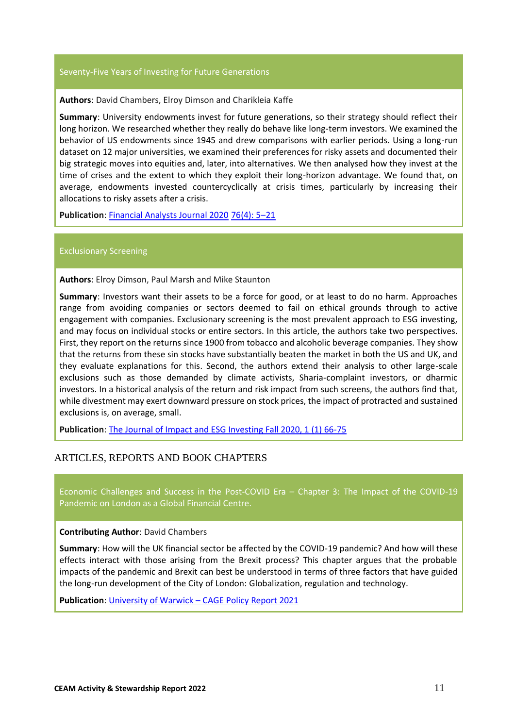#### Seventy-Five Years of Investing for Future Generations

#### **Authors**: David Chambers, Elroy Dimson and Charikleia Kaffe

**Summary**: University endowments invest for future generations, so their strategy should reflect their long horizon. We researched whether they really do behave like long-term investors. We examined the behavior of US endowments since 1945 and drew comparisons with earlier periods. Using a long-run dataset on 12 major universities, we examined their preferences for risky assets and documented their big strategic moves into equities and, later, into alternatives. We then analysed how they invest at the time of crises and the extent to which they exploit their long-horizon advantage. We found that, on average, endowments invested countercyclically at crisis times, particularly by increasing their allocations to risky assets after a crisis.

**Publication**: [Financial Analysts Journal 2020](https://www.tandfonline.com/eprint/8PKUHXQVVSHHWJADY8QU/full?target=10.1080/0015198X.2020.1802984) 76(4): 5–21

#### Exclusionary Screening

**Authors**: Elroy Dimson, Paul Marsh and Mike Staunton

**Summary**: Investors want their assets to be a force for good, or at least to do no harm. Approaches range from avoiding companies or sectors deemed to fail on ethical grounds through to active engagement with companies. Exclusionary screening is the most prevalent approach to ESG investing, and may focus on individual stocks or entire sectors. In this article, the authors take two perspectives. First, they report on the returns since 1900 from tobacco and alcoholic beverage companies. They show that the returns from these sin stocks have substantially beaten the market in both the US and UK, and they evaluate explanations for this. Second, the authors extend their analysis to other large-scale exclusions such as those demanded by climate activists, Sharia-complaint investors, or dharmic investors. In a historical analysis of the return and risk impact from such screens, the authors find that, while divestment may exert downward pressure on stock prices, the impact of protracted and sustained exclusions is, on average, small.

**Publication:** [The Journal of Impact and ESG Investing Fall 2020, 1 \(1\) 66-75](https://jesg.pm-research.com/content/1/1/66)

## <span id="page-10-0"></span>ARTICLES, REPORTS AND BOOK CHAPTERS

Economic Challenges and Success in the Post-COVID Era – Chapter 3: The Impact of the COVID-19 Pandemic on London as a Global Financial Centre.

#### **Contributing Author**: David Chambers

**Summary**: How will the UK financial sector be affected by the COVID-19 pandemic? And how will these effects interact with those arising from the Brexit process? This chapter argues that the probable impacts of the pandemic and Brexit can best be understood in terms of three factors that have guided the long-run development of the City of London: Globalization, regulation and technology.

**Publication**: University of Warwick – [CAGE Policy Report 2021](https://warwick.ac.uk/fac/soc/economics/research/centres/cage/publications/policyreports/policy-report-economic-challenges-post-covid-era/economic_challenges_and_success_in_the_post-covid_era_chapter_3.pdf)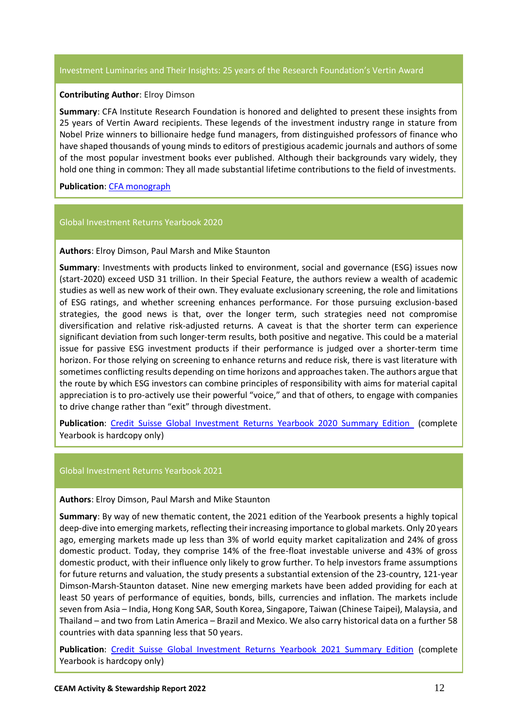#### Investment Luminaries and Their Insights: 25 years of the Research Foundation's Vertin Award

#### **Contributing Author**: Elroy Dimson

**Summary**: CFA Institute Research Foundation is honored and delighted to present these insights from 25 years of Vertin Award recipients. These legends of the investment industry range in stature from Nobel Prize winners to billionaire hedge fund managers, from distinguished professors of finance who have shaped thousands of young minds to editors of prestigious academic journals and authors of some of the most popular investment books ever published. Although their backgrounds vary widely, they hold one thing in common: They all made substantial lifetime contributions to the field of investments.

**Publication**[: CFA monograph](https://www.cfainstitute.org/research/foundation/2021/twenty-five-years-rf-vertin-award)

#### Global Investment Returns Yearbook 2020

#### **Authors**: Elroy Dimson, Paul Marsh and Mike Staunton

**Summary**: Investments with products linked to environment, social and governance (ESG) issues now (start-2020) exceed USD 31 trillion. In their Special Feature, the authors review a wealth of academic studies as well as new work of their own. They evaluate exclusionary screening, the role and limitations of ESG ratings, and whether screening enhances performance. For those pursuing exclusion-based strategies, the good news is that, over the longer term, such strategies need not compromise diversification and relative risk-adjusted returns. A caveat is that the shorter term can experience significant deviation from such longer-term results, both positive and negative. This could be a material issue for passive ESG investment products if their performance is judged over a shorter-term time horizon. For those relying on screening to enhance returns and reduce risk, there is vast literature with sometimes conflicting results depending on time horizons and approaches taken. The authors argue that the route by which ESG investors can combine principles of responsibility with aims for material capital appreciation is to pro-actively use their powerful "voice," and that of others, to engage with companies to drive change rather than "exit" through divestment.

**Publication**: Credit Suisse [Global Investment Returns Yearbook 2020 Summary Edition](http://bit.ly/GIRY2020) (complete Yearbook is hardcopy only)

#### Global Investment Returns Yearbook 2021

#### **Authors**: Elroy Dimson, Paul Marsh and Mike Staunton

**Summary**: By way of new thematic content, the 2021 edition of the Yearbook presents a highly topical deep-dive into emerging markets, reflecting their increasing importance to global markets. Only 20 years ago, emerging markets made up less than 3% of world equity market capitalization and 24% of gross domestic product. Today, they comprise 14% of the free-float investable universe and 43% of gross domestic product, with their influence only likely to grow further. To help investors frame assumptions for future returns and valuation, the study presents a substantial extension of the 23-country, 121-year Dimson-Marsh-Staunton dataset. Nine new emerging markets have been added providing for each at least 50 years of performance of equities, bonds, bills, currencies and inflation. The markets include seven from Asia – India, Hong Kong SAR, South Korea, Singapore, Taiwan (Chinese Taipei), Malaysia, and Thailand – and two from Latin America – Brazil and Mexico. We also carry historical data on a further 58 countries with data spanning less that 50 years.

**Publication**: [Credit Suisse Global Investment Returns Yearbook 2021 Summary Edition](http://bit.ly/GIRY2021) (complete Yearbook is hardcopy only)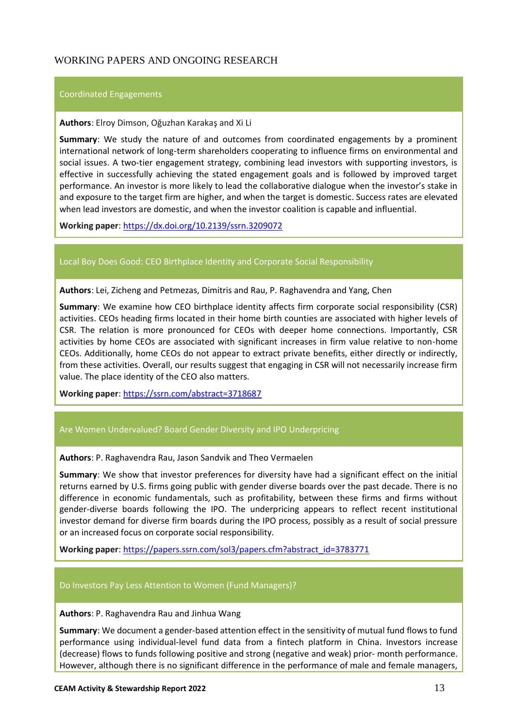## <span id="page-12-0"></span>WORKING PAPERS AND ONGOING RESEARCH

#### Coordinated Engagements

#### **Authors**: Elroy Dimson, Oğuzhan Karakaş and Xi Li

**Summary**: We study the nature of and outcomes from coordinated engagements by a prominent international network of long-term shareholders cooperating to influence firms on environmental and social issues. A two-tier engagement strategy, combining lead investors with supporting investors, is effective in successfully achieving the stated engagement goals and is followed by improved target performance. An investor is more likely to lead the collaborative dialogue when the investor's stake in and exposure to the target firm are higher, and when the target is domestic. Success rates are elevated when lead investors are domestic, and when the investor coalition is capable and influential.

**Working paper**:<https://dx.doi.org/10.2139/ssrn.3209072>

#### Local Boy Does Good: CEO Birthplace Identity and Corporate Social Responsibility

**Authors**: Lei, Zicheng and Petmezas, Dimitris and Rau, P. Raghavendra and Yang, Chen

**Summary**: We examine how CEO birthplace identity affects firm corporate social responsibility (CSR) activities. CEOs heading firms located in their home birth counties are associated with higher levels of CSR. The relation is more pronounced for CEOs with deeper home connections. Importantly, CSR activities by home CEOs are associated with significant increases in firm value relative to non-home CEOs. Additionally, home CEOs do not appear to extract private benefits, either directly or indirectly, from these activities. Overall, our results suggest that engaging in CSR will not necessarily increase firm value. The place identity of the CEO also matters.

**Working paper**: <https://ssrn.com/abstract=3718687>

#### Are Women Undervalued? Board Gender Diversity and IPO Underpricing

**Authors**: P. Raghavendra Rau, Jason Sandvik and Theo Vermaelen

**Summary**: We show that investor preferences for diversity have had a significant effect on the initial returns earned by U.S. firms going public with gender diverse boards over the past decade. There is no difference in economic fundamentals, such as profitability, between these firms and firms without gender-diverse boards following the IPO. The underpricing appears to reflect recent institutional investor demand for diverse firm boards during the IPO process, possibly as a result of social pressure or an increased focus on corporate social responsibility.

**Working paper**: [https://papers.ssrn.com/sol3/papers.cfm?abstract\\_id=3783771](https://papers.ssrn.com/sol3/papers.cfm?abstract_id=3783771)

#### Do Investors Pay Less Attention to Women (Fund Managers)?

#### **Authors**: P. Raghavendra Rau and Jinhua Wang

**Summary**: We document a gender-based attention effect in the sensitivity of mutual fund flows to fund performance using individual-level fund data from a fintech platform in China. Investors increase (decrease) flows to funds following positive and strong (negative and weak) prior- month performance. However, although there is no significant difference in the performance of male and female managers,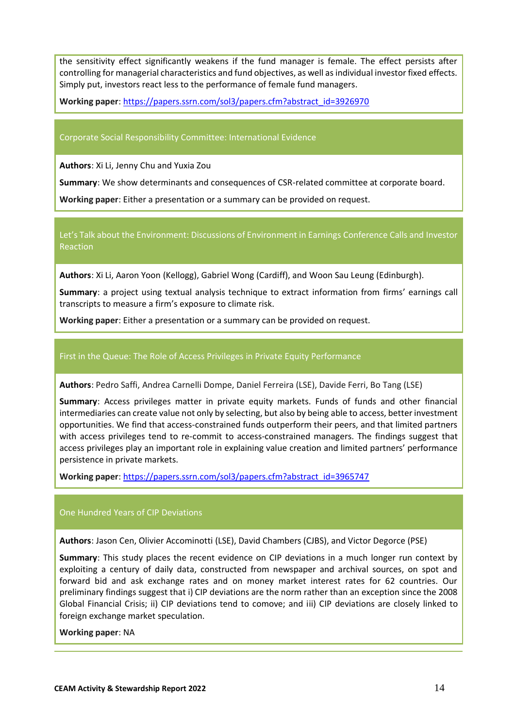the sensitivity effect significantly weakens if the fund manager is female. The effect persists after controlling for managerial characteristics and fund objectives, as well as individual investor fixed effects. Simply put, investors react less to the performance of female fund managers.

**Working paper**: [https://papers.ssrn.com/sol3/papers.cfm?abstract\\_id=3926970](https://papers.ssrn.com/sol3/papers.cfm?abstract_id=3926970)

#### Corporate Social Responsibility Committee: International Evidence

**Authors**: Xi Li, Jenny Chu and Yuxia Zou

**Summary**: We show determinants and consequences of CSR-related committee at corporate board.

**Working paper**: Either a presentation or a summary can be provided on request.

Let's Talk about the Environment: Discussions of Environment in Earnings Conference Calls and Investor Reaction

**Authors**: Xi Li, Aaron Yoon (Kellogg), Gabriel Wong (Cardiff), and Woon Sau Leung (Edinburgh).

**Summary**: a project using textual analysis technique to extract information from firms' earnings call transcripts to measure a firm's exposure to climate risk.

**Working paper**: Either a presentation or a summary can be provided on request.

#### First in the Queue: The Role of Access Privileges in Private Equity Performance

**Authors**: Pedro Saffi, Andrea Carnelli Dompe, Daniel Ferreira (LSE), Davide Ferri, Bo Tang (LSE)

**Summary**: Access privileges matter in private equity markets. Funds of funds and other financial intermediaries can create value not only by selecting, but also by being able to access, better investment opportunities. We find that access-constrained funds outperform their peers, and that limited partners with access privileges tend to re-commit to access-constrained managers. The findings suggest that access privileges play an important role in explaining value creation and limited partners' performance persistence in private markets.

**Working paper**: [https://papers.ssrn.com/sol3/papers.cfm?abstract\\_id=3965747](https://papers.ssrn.com/sol3/papers.cfm?abstract_id=3965747)

#### One Hundred Years of CIP Deviations

**Authors**: Jason Cen, Olivier Accominotti (LSE), David Chambers (CJBS), and Victor Degorce (PSE)

**Summary**: This study places the recent evidence on CIP deviations in a much longer run context by exploiting a century of daily data, constructed from newspaper and archival sources, on spot and forward bid and ask exchange rates and on money market interest rates for 62 countries. Our preliminary findings suggest that i) CIP deviations are the norm rather than an exception since the 2008 Global Financial Crisis; ii) CIP deviations tend to comove; and iii) CIP deviations are closely linked to foreign exchange market speculation.

**Working paper**: NA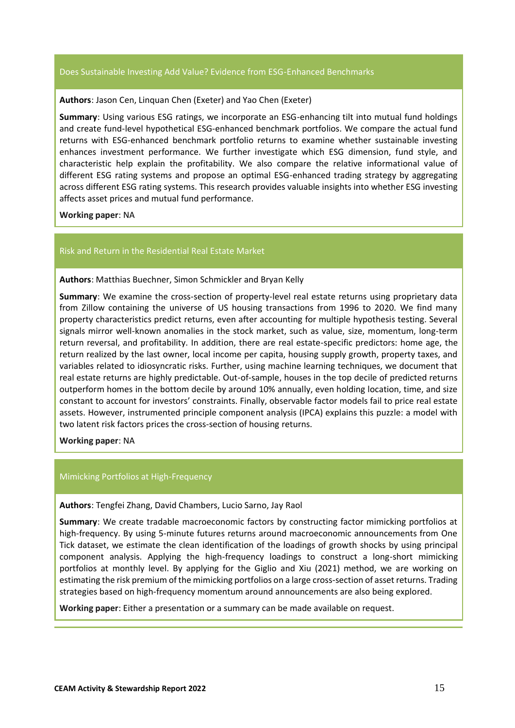#### Does Sustainable Investing Add Value? Evidence from ESG-Enhanced Benchmarks

#### **Authors**: Jason Cen, Linquan Chen (Exeter) and Yao Chen (Exeter)

**Summary**: Using various ESG ratings, we incorporate an ESG-enhancing tilt into mutual fund holdings and create fund-level hypothetical ESG-enhanced benchmark portfolios. We compare the actual fund returns with ESG-enhanced benchmark portfolio returns to examine whether sustainable investing enhances investment performance. We further investigate which ESG dimension, fund style, and characteristic help explain the profitability. We also compare the relative informational value of different ESG rating systems and propose an optimal ESG-enhanced trading strategy by aggregating across different ESG rating systems. This research provides valuable insights into whether ESG investing affects asset prices and mutual fund performance.

**Working paper**: NA

#### Risk and Return in the Residential Real Estate Market

#### **Authors**: Matthias Buechner, Simon Schmickler and Bryan Kelly

**Summary**: We examine the cross-section of property-level real estate returns using proprietary data from Zillow containing the universe of US housing transactions from 1996 to 2020. We find many property characteristics predict returns, even after accounting for multiple hypothesis testing. Several signals mirror well-known anomalies in the stock market, such as value, size, momentum, long-term return reversal, and profitability. In addition, there are real estate-specific predictors: home age, the return realized by the last owner, local income per capita, housing supply growth, property taxes, and variables related to idiosyncratic risks. Further, using machine learning techniques, we document that real estate returns are highly predictable. Out-of-sample, houses in the top decile of predicted returns outperform homes in the bottom decile by around 10% annually, even holding location, time, and size constant to account for investors' constraints. Finally, observable factor models fail to price real estate assets. However, instrumented principle component analysis (IPCA) explains this puzzle: a model with two latent risk factors prices the cross-section of housing returns.

**Working paper**: NA

#### Mimicking Portfolios at High-Frequency

**Authors**: Tengfei Zhang, David Chambers, Lucio Sarno, Jay Raol

**Summary**: We create tradable macroeconomic factors by constructing factor mimicking portfolios at high-frequency. By using 5-minute futures returns around macroeconomic announcements from One Tick dataset, we estimate the clean identification of the loadings of growth shocks by using principal component analysis. Applying the high-frequency loadings to construct a long-short mimicking portfolios at monthly level. By applying for the Giglio and Xiu (2021) method, we are working on estimating the risk premium of the mimicking portfolios on a large cross-section of asset returns. Trading strategies based on high-frequency momentum around announcements are also being explored.

**Working paper**: Either a presentation or a summary can be made available on request.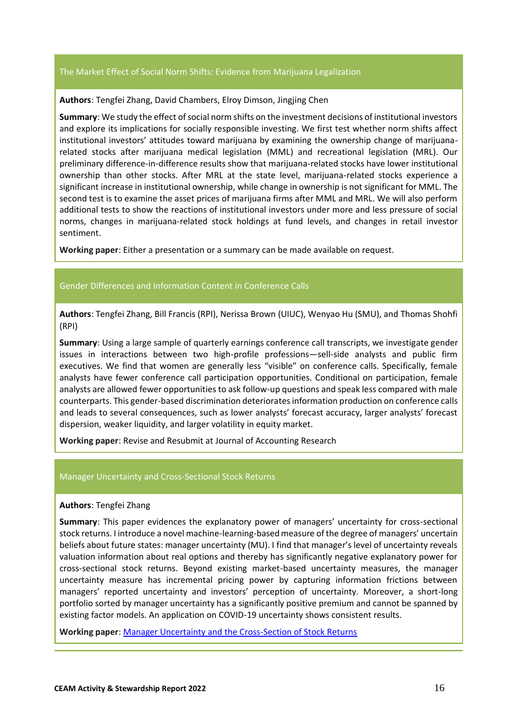#### The Market Effect of Social Norm Shifts: Evidence from Marijuana Legalization

#### **Authors**: Tengfei Zhang, David Chambers, Elroy Dimson, Jingjing Chen

**Summary**: We study the effect of social norm shifts on the investment decisions of institutional investors and explore its implications for socially responsible investing. We first test whether norm shifts affect institutional investors' attitudes toward marijuana by examining the ownership change of marijuanarelated stocks after marijuana medical legislation (MML) and recreational legislation (MRL). Our preliminary difference-in-difference results show that marijuana-related stocks have lower institutional ownership than other stocks. After MRL at the state level, marijuana-related stocks experience a significant increase in institutional ownership, while change in ownership is not significant for MML. The second test is to examine the asset prices of marijuana firms after MML and MRL. We will also perform additional tests to show the reactions of institutional investors under more and less pressure of social norms, changes in marijuana-related stock holdings at fund levels, and changes in retail investor sentiment.

**Working paper**: Either a presentation or a summary can be made available on request.

#### Gender Differences and Information Content in Conference Calls

**Authors**: Tengfei Zhang, Bill Francis (RPI), Nerissa Brown (UIUC), Wenyao Hu (SMU), and Thomas Shohfi (RPI)

**Summary**: Using a large sample of quarterly earnings conference call transcripts, we investigate gender issues in interactions between two high-profile professions—sell-side analysts and public firm executives. We find that women are generally less "visible" on conference calls. Specifically, female analysts have fewer conference call participation opportunities. Conditional on participation, female analysts are allowed fewer opportunities to ask follow-up questions and speak less compared with male counterparts. This gender-based discrimination deteriorates information production on conference calls and leads to several consequences, such as lower analysts' forecast accuracy, larger analysts' forecast dispersion, weaker liquidity, and larger volatility in equity market.

**Working paper**: Revise and Resubmit at Journal of Accounting Research

#### Manager Uncertainty and Cross-Sectional Stock Returns

#### **Authors**: Tengfei Zhang

**Summary**: This paper evidences the explanatory power of managers' uncertainty for cross-sectional stock returns. I introduce a novel machine-learning-based measure of the degree of managers' uncertain beliefs about future states: manager uncertainty (MU). I find that manager's level of uncertainty reveals valuation information about real options and thereby has significantly negative explanatory power for cross-sectional stock returns. Beyond existing market-based uncertainty measures, the manager uncertainty measure has incremental pricing power by capturing information frictions between managers' reported uncertainty and investors' perception of uncertainty. Moreover, a short-long portfolio sorted by manager uncertainty has a significantly positive premium and cannot be spanned by existing factor models. An application on COVID-19 uncertainty shows consistent results.

**Working paper**: [Manager Uncertainty and the Cross-Section of Stock Returns](https://papers.ssrn.com/sol3/papers.cfm?abstract_id=3654376)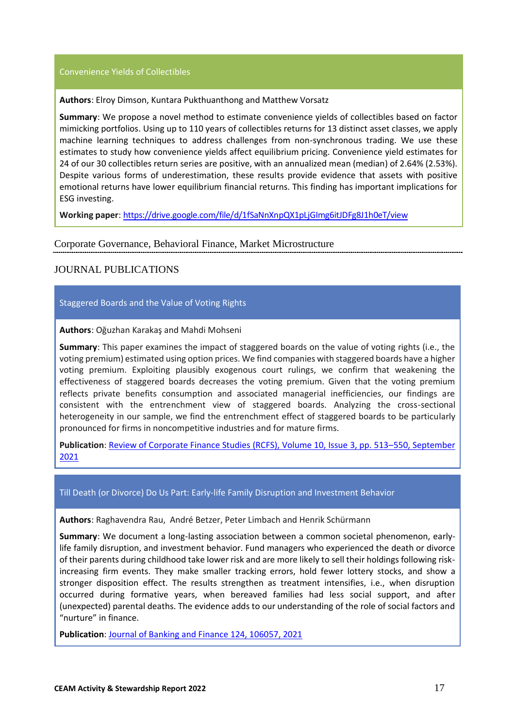#### Convenience Yields of Collectibles

#### **Authors**: Elroy Dimson, Kuntara Pukthuanthong and Matthew Vorsatz

**Summary**: We propose a novel method to estimate convenience yields of collectibles based on factor mimicking portfolios. Using up to 110 years of collectibles returns for 13 distinct asset classes, we apply machine learning techniques to address challenges from non-synchronous trading. We use these estimates to study how convenience yields affect equilibrium pricing. Convenience yield estimates for 24 of our 30 collectibles return series are positive, with an annualized mean (median) of 2.64% (2.53%). Despite various forms of underestimation, these results provide evidence that assets with positive emotional returns have lower equilibrium financial returns. This finding has important implications for ESG investing.

**Working paper**:<https://drive.google.com/file/d/1fSaNnXnpQX1pLjGImg6itJDFg8J1h0eT/view>

#### <span id="page-16-0"></span>Corporate Governance, Behavioral Finance, Market Microstructure

## <span id="page-16-1"></span>JOURNAL PUBLICATIONS

#### Staggered Boards and the Value of Voting Rights

#### **Authors**: Oğuzhan Karakaş and Mahdi Mohseni

**Summary**: This paper examines the impact of staggered boards on the value of voting rights (i.e., the voting premium) estimated using option prices. We find companies with staggered boards have a higher voting premium. Exploiting plausibly exogenous court rulings, we confirm that weakening the effectiveness of staggered boards decreases the voting premium. Given that the voting premium reflects private benefits consumption and associated managerial inefficiencies, our findings are consistent with the entrenchment view of staggered boards. Analyzing the cross-sectional heterogeneity in our sample, we find the entrenchment effect of staggered boards to be particularly pronounced for firms in noncompetitive industries and for mature firms.

**Publication**[: Review of Corporate Finance Studies \(RCFS\), Volume 10, Issue 3, pp. 513](https://academic.oup.com/rcfs/article/10/3/513/6182693)–550, September [2021](https://academic.oup.com/rcfs/article/10/3/513/6182693)

#### Till Death (or Divorce) Do Us Part: Early-life Family Disruption and Investment Behavior

**Authors**: Raghavendra Rau, André Betzer, Peter Limbach and Henrik Schürmann

**Summary**: We document a long-lasting association between a common societal phenomenon, earlylife family disruption, and investment behavior. Fund managers who experienced the death or divorce of their parents during childhood take lower risk and are more likely to sell their holdings following riskincreasing firm events. They make smaller tracking errors, hold fewer lottery stocks, and show a stronger disposition effect. The results strengthen as treatment intensifies, i.e., when disruption occurred during formative years, when bereaved families had less social support, and after (unexpected) parental deaths. The evidence adds to our understanding of the role of social factors and "nurture" in finance.

**Publication**: [Journal of Banking and Finance](https://papers.ssrn.com/sol3/papers.cfm?abstract_id=3353686) 124, 106057, 2021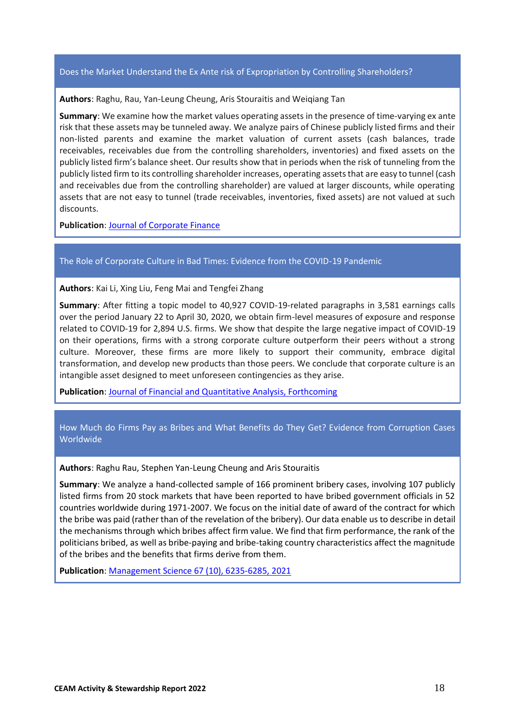#### Does the Market Understand the Ex Ante risk of Expropriation by Controlling Shareholders?

**Authors**: Raghu, Rau, Yan-Leung Cheung, Aris Stouraitis and Weiqiang Tan

**Summary**: We examine how the market values operating assets in the presence of time-varying ex ante risk that these assets may be tunneled away. We analyze pairs of Chinese publicly listed firms and their non-listed parents and examine the market valuation of current assets (cash balances, trade receivables, receivables due from the controlling shareholders, inventories) and fixed assets on the publicly listed firm's balance sheet. Our results show that in periods when the risk of tunneling from the publicly listed firm to its controlling shareholder increases, operating assets that are easy to tunnel (cash and receivables due from the controlling shareholder) are valued at larger discounts, while operating assets that are not easy to tunnel (trade receivables, inventories, fixed assets) are not valued at such discounts.

**Publication**[: Journal of Corporate Finance](https://papers.ssrn.com/sol3/papers.cfm?abstract_id=2716885)

#### The Role of Corporate Culture in Bad Times: Evidence from the COVID-19 Pandemic

**Authors**: Kai Li, Xing Liu, Feng Mai and Tengfei Zhang

**Summary**: After fitting a topic model to 40,927 COVID-19-related paragraphs in 3,581 earnings calls over the period January 22 to April 30, 2020, we obtain firm-level measures of exposure and response related to COVID-19 for 2,894 U.S. firms. We show that despite the large negative impact of COVID-19 on their operations, firms with a strong corporate culture outperform their peers without a strong culture. Moreover, these firms are more likely to support their community, embrace digital transformation, and develop new products than those peers. We conclude that corporate culture is an intangible asset designed to meet unforeseen contingencies as they arise.

**Publication**[: Journal of Financial and Quantitative Analysis, Forthcoming](https://papers.ssrn.com/sol3/papers.cfm?abstract_id=3632395)

How Much do Firms Pay as Bribes and What Benefits do They Get? Evidence from Corruption Cases Worldwide

**Authors**: Raghu Rau, Stephen Yan-Leung Cheung and Aris Stouraitis

**Summary**: We analyze a hand-collected sample of 166 prominent bribery cases, involving 107 publicly listed firms from 20 stock markets that have been reported to have bribed government officials in 52 countries worldwide during 1971-2007. We focus on the initial date of award of the contract for which the bribe was paid (rather than of the revelation of the bribery). Our data enable us to describe in detail the mechanisms through which bribes affect firm value. We find that firm performance, the rank of the politicians bribed, as well as bribe-paying and bribe-taking country characteristics affect the magnitude of the bribes and the benefits that firms derive from them.

**Publication**[: Management Science 67 \(10\), 6235-6285, 2021](https://papers.ssrn.com/sol3/papers.cfm?abstract_id=1772246)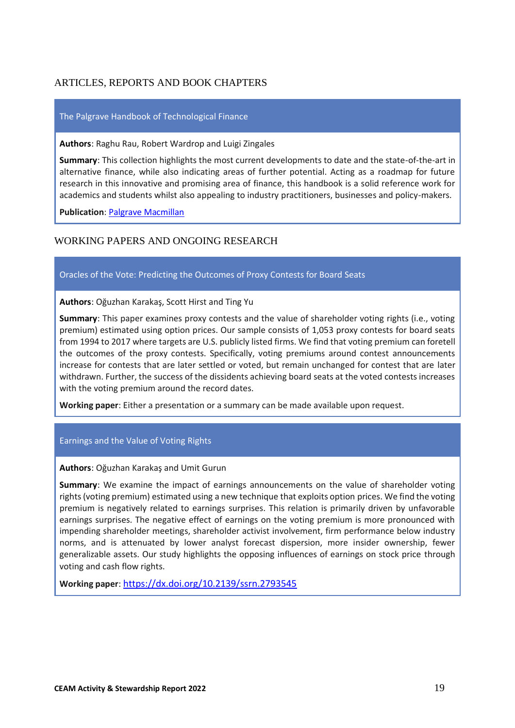## <span id="page-18-0"></span>ARTICLES, REPORTS AND BOOK CHAPTERS

#### The Palgrave Handbook of Technological Finance

**Authors**: Raghu Rau, Robert Wardrop and Luigi Zingales

**Summary**: This collection highlights the most current developments to date and the state-of-the-art in alternative finance, while also indicating areas of further potential. Acting as a roadmap for future research in this innovative and promising area of finance, this handbook is a solid reference work for academics and students whilst also appealing to industry practitioners, businesses and policy-makers.

**Publication[: Palgrave Macmillan](https://link.springer.com/book/10.1007/978-3-030-65117-6)** 

## <span id="page-18-1"></span>WORKING PAPERS AND ONGOING RESEARCH

#### Oracles of the Vote: Predicting the Outcomes of Proxy Contests for Board Seats

**Authors**: Oğuzhan Karakaş, Scott Hirst and Ting Yu

**Summary**: This paper examines proxy contests and the value of shareholder voting rights (i.e., voting premium) estimated using option prices. Our sample consists of 1,053 proxy contests for board seats from 1994 to 2017 where targets are U.S. publicly listed firms. We find that voting premium can foretell the outcomes of the proxy contests. Specifically, voting premiums around contest announcements increase for contests that are later settled or voted, but remain unchanged for contest that are later withdrawn. Further, the success of the dissidents achieving board seats at the voted contests increases with the voting premium around the record dates.

**Working paper**: Either a presentation or a summary can be made available upon request.

#### Earnings and the Value of Voting Rights

**Authors**: Oğuzhan Karakaş and Umit Gurun

**Summary**: We examine the impact of earnings announcements on the value of shareholder voting rights (voting premium) estimated using a new technique that exploits option prices. We find the voting premium is negatively related to earnings surprises. This relation is primarily driven by unfavorable earnings surprises. The negative effect of earnings on the voting premium is more pronounced with impending shareholder meetings, shareholder activist involvement, firm performance below industry norms, and is attenuated by lower analyst forecast dispersion, more insider ownership, fewer generalizable assets. Our study highlights the opposing influences of earnings on stock price through voting and cash flow rights.

**Working paper**: <https://dx.doi.org/10.2139/ssrn.2793545>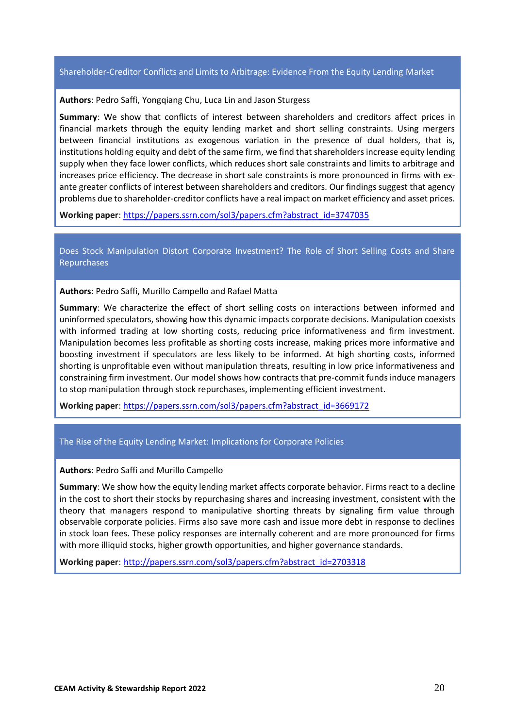#### Shareholder-Creditor Conflicts and Limits to Arbitrage: Evidence From the Equity Lending Market

#### **Authors**: Pedro Saffi, Yongqiang Chu, Luca Lin and Jason Sturgess

**Summary**: We show that conflicts of interest between shareholders and creditors affect prices in financial markets through the equity lending market and short selling constraints. Using mergers between financial institutions as exogenous variation in the presence of dual holders, that is, institutions holding equity and debt of the same firm, we find that shareholders increase equity lending supply when they face lower conflicts, which reduces short sale constraints and limits to arbitrage and increases price efficiency. The decrease in short sale constraints is more pronounced in firms with exante greater conflicts of interest between shareholders and creditors. Our findings suggest that agency problems due to shareholder-creditor conflicts have a real impact on market efficiency and asset prices.

**Working paper**: [https://papers.ssrn.com/sol3/papers.cfm?abstract\\_id=3747035](https://papers.ssrn.com/sol3/papers.cfm?abstract_id=3747035)

Does Stock Manipulation Distort Corporate Investment? The Role of Short Selling Costs and Share Repurchases

**Authors**: Pedro Saffi, Murillo Campello and Rafael Matta

**Summary**: We characterize the effect of short selling costs on interactions between informed and uninformed speculators, showing how this dynamic impacts corporate decisions. Manipulation coexists with informed trading at low shorting costs, reducing price informativeness and firm investment. Manipulation becomes less profitable as shorting costs increase, making prices more informative and boosting investment if speculators are less likely to be informed. At high shorting costs, informed shorting is unprofitable even without manipulation threats, resulting in low price informativeness and constraining firm investment. Our model shows how contracts that pre-commit funds induce managers to stop manipulation through stock repurchases, implementing efficient investment.

**Working paper**: [https://papers.ssrn.com/sol3/papers.cfm?abstract\\_id=3669172](https://papers.ssrn.com/sol3/papers.cfm?abstract_id=3669172)

#### The Rise of the Equity Lending Market: Implications for Corporate Policies

#### **Authors**: Pedro Saffi and Murillo Campello

**Summary**: We show how the equity lending market affects corporate behavior. Firms react to a decline in the cost to short their stocks by repurchasing shares and increasing investment, consistent with the theory that managers respond to manipulative shorting threats by signaling firm value through observable corporate policies. Firms also save more cash and issue more debt in response to declines in stock loan fees. These policy responses are internally coherent and are more pronounced for firms with more illiquid stocks, higher growth opportunities, and higher governance standards.

**Working paper**: [http://papers.ssrn.com/sol3/papers.cfm?abstract\\_id=2703318](http://papers.ssrn.com/sol3/papers.cfm?abstract_id=2703318)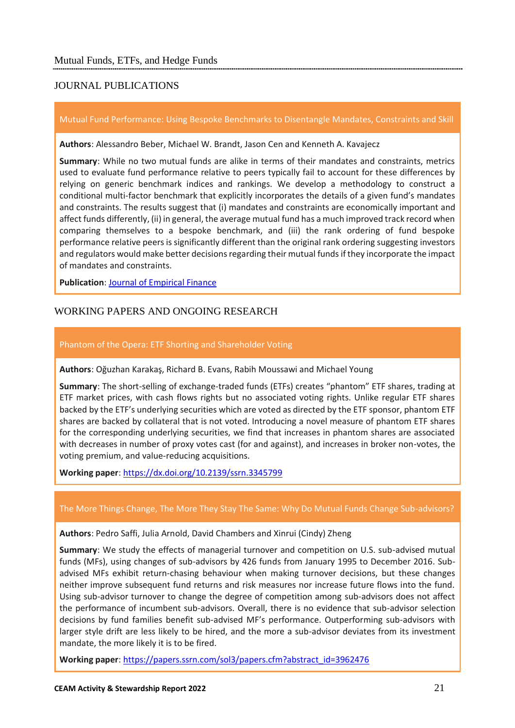## <span id="page-20-1"></span><span id="page-20-0"></span>JOURNAL PUBLICATIONS

#### Mutual Fund Performance: Using Bespoke Benchmarks to Disentangle Mandates, Constraints and Skill

**Authors**: Alessandro Beber, Michael W. Brandt, Jason Cen and Kenneth A. Kavajecz

**Summary**: While no two mutual funds are alike in terms of their mandates and constraints, metrics used to evaluate fund performance relative to peers typically fail to account for these differences by relying on generic benchmark indices and rankings. We develop a methodology to construct a conditional multi-factor benchmark that explicitly incorporates the details of a given fund's mandates and constraints. The results suggest that (i) mandates and constraints are economically important and affect funds differently, (ii) in general, the average mutual fund has a much improved track record when comparing themselves to a bespoke benchmark, and (iii) the rank ordering of fund bespoke performance relative peers is significantly different than the original rank ordering suggesting investors and regulators would make better decisions regarding their mutual funds if they incorporate the impact of mandates and constraints.

**Publication**[: Journal of Empirical Finance](https://papers.ssrn.com/sol3/papers.cfm?abstract_id=3211588)

## <span id="page-20-2"></span>WORKING PAPERS AND ONGOING RESEARCH

#### Phantom of the Opera: ETF Shorting and Shareholder Voting

**Authors**: Oğuzhan Karakaş, Richard B. Evans, Rabih Moussawi and Michael Young

**Summary**: The short-selling of exchange-traded funds (ETFs) creates "phantom" ETF shares, trading at ETF market prices, with cash flows rights but no associated voting rights. Unlike regular ETF shares backed by the ETF's underlying securities which are voted as directed by the ETF sponsor, phantom ETF shares are backed by collateral that is not voted. Introducing a novel measure of phantom ETF shares for the corresponding underlying securities, we find that increases in phantom shares are associated with decreases in number of proxy votes cast (for and against), and increases in broker non-votes, the voting premium, and value-reducing acquisitions.

**Working paper**:<https://dx.doi.org/10.2139/ssrn.3345799>

#### The More Things Change, The More They Stay The Same: Why Do Mutual Funds Change Sub-advisors?

#### **Authors**: Pedro Saffi, Julia Arnold, David Chambers and Xinrui (Cindy) Zheng

**Summary**: We study the effects of managerial turnover and competition on U.S. sub-advised mutual funds (MFs), using changes of sub-advisors by 426 funds from January 1995 to December 2016. Subadvised MFs exhibit return-chasing behaviour when making turnover decisions, but these changes neither improve subsequent fund returns and risk measures nor increase future flows into the fund. Using sub-advisor turnover to change the degree of competition among sub-advisors does not affect the performance of incumbent sub-advisors. Overall, there is no evidence that sub-advisor selection decisions by fund families benefit sub-advised MF's performance. Outperforming sub-advisors with larger style drift are less likely to be hired, and the more a sub-advisor deviates from its investment mandate, the more likely it is to be fired.

**Working paper**: [https://papers.ssrn.com/sol3/papers.cfm?abstract\\_id=3962476](https://papers.ssrn.com/sol3/papers.cfm?abstract_id=3962476)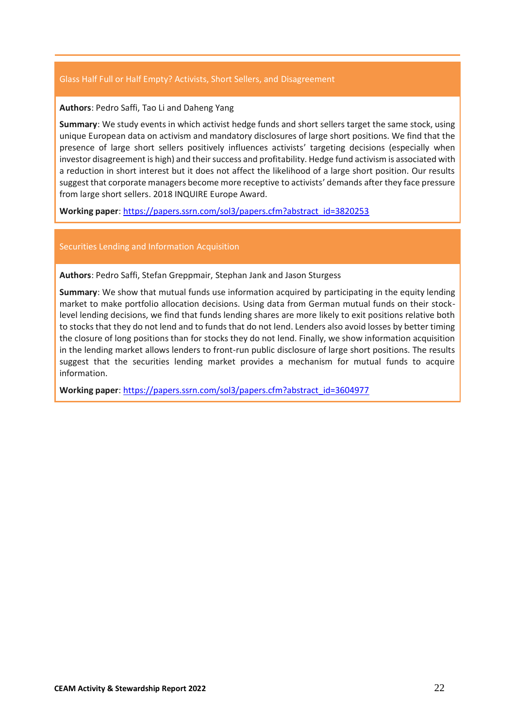#### Glass Half Full or Half Empty? Activists, Short Sellers, and Disagreement

#### **Authors**: Pedro Saffi, Tao Li and Daheng Yang

**Summary**: We study events in which activist hedge funds and short sellers target the same stock, using unique European data on activism and mandatory disclosures of large short positions. We find that the presence of large short sellers positively influences activists' targeting decisions (especially when investor disagreement is high) and their success and profitability. Hedge fund activism is associated with a reduction in short interest but it does not affect the likelihood of a large short position. Our results suggest that corporate managers become more receptive to activists' demands after they face pressure from large short sellers. 2018 INQUIRE Europe Award.

**Working paper**: [https://papers.ssrn.com/sol3/papers.cfm?abstract\\_id=3820253](https://papers.ssrn.com/sol3/papers.cfm?abstract_id=3820253)

#### Securities Lending and Information Acquisition

**Authors**: Pedro Saffi, Stefan Greppmair, Stephan Jank and Jason Sturgess

**Summary**: We show that mutual funds use information acquired by participating in the equity lending market to make portfolio allocation decisions. Using data from German mutual funds on their stocklevel lending decisions, we find that funds lending shares are more likely to exit positions relative both to stocks that they do not lend and to funds that do not lend. Lenders also avoid losses by better timing the closure of long positions than for stocks they do not lend. Finally, we show information acquisition in the lending market allows lenders to front-run public disclosure of large short positions. The results suggest that the securities lending market provides a mechanism for mutual funds to acquire information.

**Working paper**: [https://papers.ssrn.com/sol3/papers.cfm?abstract\\_id=3604977](https://papers.ssrn.com/sol3/papers.cfm?abstract_id=3604977)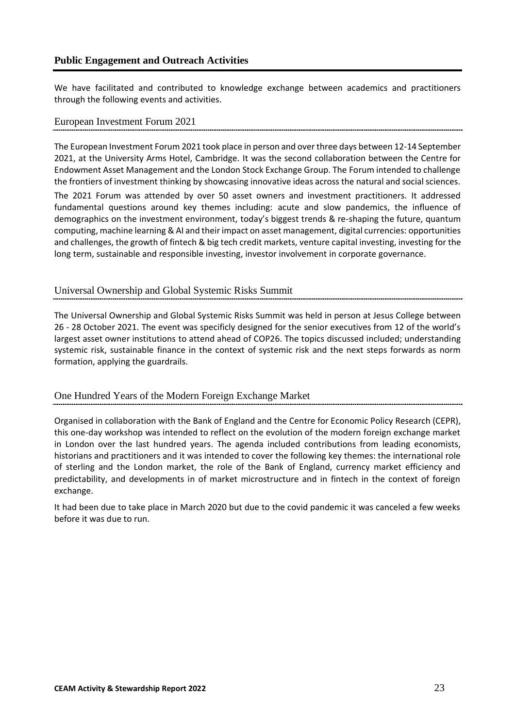## <span id="page-22-0"></span>**Public Engagement and Outreach Activities**

We have facilitated and contributed to knowledge exchange between academics and practitioners through the following events and activities.

#### <span id="page-22-1"></span>European Investment Forum 2021

The European Investment Forum 2021 took place in person and over three days between 12-14 September 2021, at the University Arms Hotel, Cambridge. It was the second collaboration between the Centre for Endowment Asset Management and the London Stock Exchange Group. The Forum intended to challenge the frontiers of investment thinking by showcasing innovative ideas across the natural and social sciences.

The 2021 Forum was attended by over 50 asset owners and investment practitioners. It addressed fundamental questions around key themes including: acute and slow pandemics, the influence of demographics on the investment environment, today's biggest trends & re-shaping the future, quantum computing, machine learning & AI and their impact on asset management, digital currencies: opportunities and challenges, the growth of fintech & big tech credit markets, venture capital investing, investing for the long term, sustainable and responsible investing, investor involvement in corporate governance.

## <span id="page-22-2"></span>Universal Ownership and Global Systemic Risks Summit

The Universal Ownership and Global Systemic Risks Summit was held in person at Jesus College between 26 - 28 October 2021. The event was specificly designed for the senior executives from 12 of the world's largest asset owner institutions to attend ahead of COP26. The topics discussed included; understanding systemic risk, sustainable finance in the context of systemic risk and the next steps forwards as norm formation, applying the guardrails.

## <span id="page-22-3"></span>One Hundred Years of the Modern Foreign Exchange Market

Organised in collaboration with the Bank of England and the Centre for Economic Policy Research (CEPR), this one-day workshop was intended to reflect on the evolution of the modern foreign exchange market in London over the last hundred years. The agenda included contributions from leading economists, historians and practitioners and it was intended to cover the following key themes: the international role of sterling and the London market, the role of the Bank of England, currency market efficiency and predictability, and developments in of market microstructure and in fintech in the context of foreign exchange.

It had been due to take place in March 2020 but due to the covid pandemic it was canceled a few weeks before it was due to run.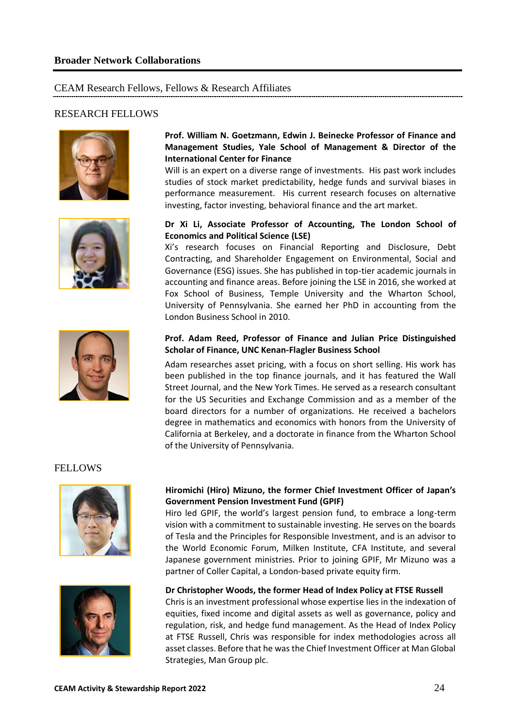## <span id="page-23-1"></span><span id="page-23-0"></span>CEAM Research Fellows, Fellows & Research Affiliates

## <span id="page-23-2"></span>RESEARCH FELLOWS





#### **Prof. William N. Goetzmann, Edwin J. Beinecke Professor of Finance and Management Studies, Yale School of Management & Director of the International Center for Finance**

Will is an expert on a diverse range of investments. His past work includes studies of stock market predictability, hedge funds and survival biases in performance measurement. His current research focuses on alternative investing, factor investing, behavioral finance and the art market.

#### **Dr Xi Li, Associate Professor of Accounting, The London School of Economics and Political Science (LSE)**

Xi's research focuses on Financial Reporting and Disclosure, Debt Contracting, and Shareholder Engagement on Environmental, Social and Governance (ESG) issues. She has published in top-tier academic journals in accounting and finance areas. Before joining the LSE in 2016, she worked at Fox School of Business, Temple University and the Wharton School, University of Pennsylvania. She earned her PhD in accounting from the London Business School in 2010.



#### **Prof. Adam Reed, Professor of Finance and Julian Price Distinguished Scholar of Finance, UNC Kenan-Flagler Business School**

Adam researches asset pricing, with a focus on short selling. His work has been published in the top finance journals, and it has featured the Wall Street Journal, and the New York Times. He served as a research consultant for the US Securities and Exchange Commission and as a member of the board directors for a number of organizations. He received a bachelors degree in mathematics and economics with honors from the University of California at Berkeley, and a doctorate in finance from the Wharton School of the University of Pennsylvania.

#### <span id="page-23-3"></span>**FELLOWS**



#### **Hiromichi (Hiro) Mizuno, the former Chief Investment Officer of Japan's Government Pension Investment Fund (GPIF)**

Hiro led GPIF, the world's largest pension fund, to embrace a long-term vision with a commitment to sustainable investing. He serves on the boards of Tesla and the Principles for Responsible Investment, and is an advisor to the World Economic Forum, Milken Institute, CFA Institute, and several Japanese government ministries. Prior to joining GPIF, Mr Mizuno was a partner of Coller Capital, a London-based private equity firm.



#### **Dr Christopher Woods, the former Head of Index Policy at FTSE Russell**

Chris is an investment professional whose expertise lies in the indexation of equities, fixed income and digital assets as well as governance, policy and regulation, risk, and hedge fund management. As the Head of Index Policy at FTSE Russell, Chris was responsible for index methodologies across all asset classes. Before that he was the Chief Investment Officer at Man Global Strategies, Man Group plc.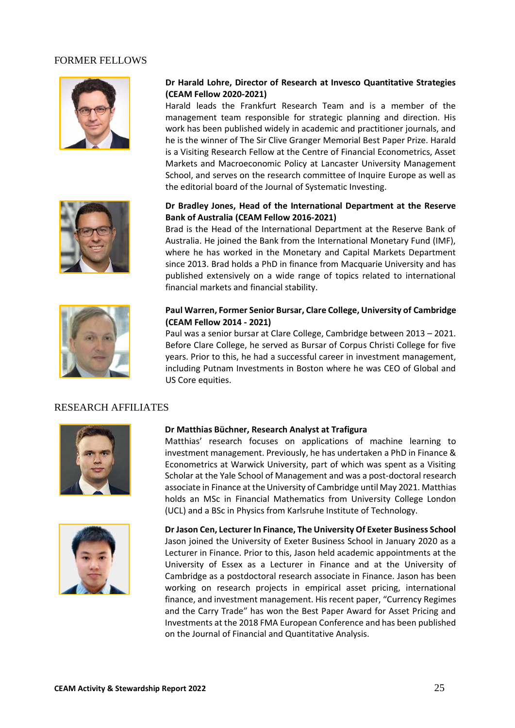#### <span id="page-24-0"></span>FORMER FELLOWS



#### **Dr Harald Lohre, Director of Research at Invesco Quantitative Strategies (CEAM Fellow 2020-2021)**

Harald leads the Frankfurt Research Team and is a member of the management team responsible for strategic planning and direction. His work has been published widely in academic and practitioner journals, and he is the winner of The Sir Clive Granger Memorial Best Paper Prize. Harald is a Visiting Research Fellow at the Centre of Financial Econometrics, Asset Markets and Macroeconomic Policy at Lancaster University Management School, and serves on the research committee of Inquire Europe as well as the editorial board of the Journal of Systematic Investing.

**Dr Bradley Jones, Head of the International Department at the Reserve** 





**Bank of Australia (CEAM Fellow 2016-2021)**

where he has worked in the Monetary and Capital Markets Department since 2013. Brad holds a PhD in finance from Macquarie University and has published extensively on a wide range of topics related to international financial markets and financial stability.



#### **Paul Warren, Former Senior Bursar, Clare College, University of Cambridge (CEAM Fellow 2014 - 2021)**

Paul was a senior bursar at Clare College, Cambridge between 2013 – 2021. Before Clare College, he served as Bursar of Corpus Christi College for five years. Prior to this, he had a successful career in investment management, including Putnam Investments in Boston where he was CEO of Global and US Core equities.

## <span id="page-24-1"></span>RESEARCH AFFILIATES



#### **Dr Matthias Büchner, Research Analyst at Trafigura**

Matthias' research focuses on applications of machine learning to investment management. Previously, he has undertaken a PhD in Finance & Econometrics at Warwick University, part of which was spent as a Visiting Scholar at the Yale School of Management and was a post-doctoral research associate in Finance at the University of Cambridge until May 2021. Matthias holds an MSc in Financial Mathematics from University College London (UCL) and a BSc in Physics from Karlsruhe Institute of Technology.



**Dr Jason Cen, Lecturer In Finance, The University Of Exeter Business School** Jason joined the University of Exeter Business School in January 2020 as a Lecturer in Finance. Prior to this, Jason held academic appointments at the University of Essex as a Lecturer in Finance and at the University of Cambridge as a postdoctoral research associate in Finance. Jason has been working on research projects in empirical asset pricing, international finance, and investment management. His recent paper, "Currency Regimes and the Carry Trade" has won the Best Paper Award for Asset Pricing and Investments at the 2018 FMA European Conference and has been published on the Journal of Financial and Quantitative Analysis.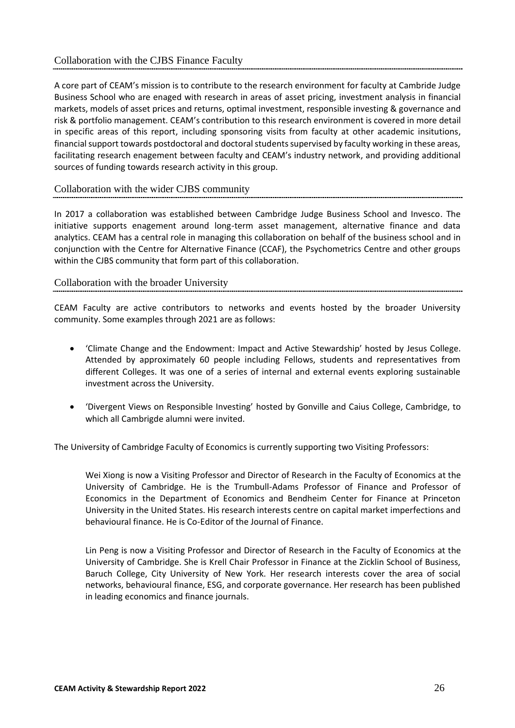<span id="page-25-0"></span>A core part of CEAM's mission is to contribute to the research environment for faculty at Cambride Judge Business School who are enaged with research in areas of asset pricing, investment analysis in financial markets, models of asset prices and returns, optimal investment, responsible investing & governance and risk & portfolio management. CEAM's contribution to this research environment is covered in more detail in specific areas of this report, including sponsoring visits from faculty at other academic insitutions, financial support towards postdoctoral and doctoral students supervised by faculty working in these areas, facilitating research enagement between faculty and CEAM's industry network, and providing additional sources of funding towards research activity in this group.

#### <span id="page-25-1"></span>Collaboration with the wider CJBS community

In 2017 a collaboration was established between Cambridge Judge Business School and Invesco. The initiative supports enagement around long-term asset management, alternative finance and data analytics. CEAM has a central role in managing this collaboration on behalf of the business school and in conjunction with the Centre for Alternative Finance (CCAF), the Psychometrics Centre and other groups within the CJBS community that form part of this collaboration.

#### <span id="page-25-2"></span>Collaboration with the broader University

CEAM Faculty are active contributors to networks and events hosted by the broader University community. Some examples through 2021 are as follows:

- 'Climate Change and the Endowment: Impact and Active Stewardship' hosted by Jesus College. Attended by approximately 60 people including Fellows, students and representatives from different Colleges. It was one of a series of internal and external events exploring sustainable investment across the University.
- 'Divergent Views on Responsible Investing' hosted by Gonville and Caius College, Cambridge, to which all Cambrigde alumni were invited.

The University of Cambridge Faculty of Economics is currently supporting two Visiting Professors:

Wei Xiong is now a Visiting Professor and Director of Research in the Faculty of Economics at the University of Cambridge. He is the Trumbull-Adams Professor of Finance and Professor of Economics in the Department of Economics and Bendheim Center for Finance at Princeton University in the United States. His research interests centre on capital market imperfections and behavioural finance. He is Co-Editor of the Journal of Finance.

Lin Peng is now a Visiting Professor and Director of Research in the Faculty of Economics at the University of Cambridge. She is Krell Chair Professor in Finance at the Zicklin School of Business, Baruch College, City University of New York. Her research interests cover the area of social networks, behavioural finance, ESG, and corporate governance. Her research has been published in leading economics and finance journals.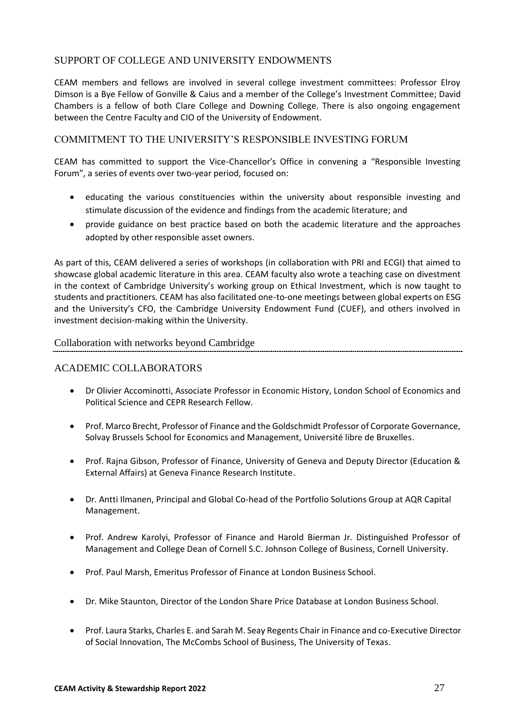## <span id="page-26-0"></span>SUPPORT OF COLLEGE AND UNIVERSITY ENDOWMENTS

CEAM members and fellows are involved in several college investment committees: Professor Elroy Dimson is a Bye Fellow of Gonville & Caius and a member of the College's Investment Committee; David Chambers is a fellow of both Clare College and Downing College. There is also ongoing engagement between the Centre Faculty and CIO of the University of Endowment.

## <span id="page-26-1"></span>COMMITMENT TO THE UNIVERSITY'S RESPONSIBLE INVESTING FORUM

CEAM has committed to support the Vice-Chancellor's Office in convening a "Responsible Investing Forum", a series of events over two-year period, focused on:

- educating the various constituencies within the university about responsible investing and stimulate discussion of the evidence and findings from the academic literature; and
- provide guidance on best practice based on both the academic literature and the approaches adopted by other responsible asset owners.

As part of this, CEAM delivered a series of workshops (in collaboration with PRI and ECGI) that aimed to showcase global academic literature in this area. CEAM faculty also wrote a teaching case on divestment in the context of Cambridge University's working group on Ethical Investment, which is now taught to students and practitioners. CEAM has also facilitated one-to-one meetings between global experts on ESG and the University's CFO, the Cambridge University Endowment Fund (CUEF), and others involved in investment decision-making within the University.

#### <span id="page-26-2"></span>Collaboration with networks beyond Cambridge

#### <span id="page-26-3"></span>ACADEMIC COLLABORATORS

- Dr Olivier Accominotti, Associate Professor in Economic History, London School of Economics and Political Science and CEPR Research Fellow.
- Prof. Marco Brecht, Professor of Finance and the Goldschmidt Professor of Corporate Governance, Solvay Brussels School for Economics and Management, Université libre de Bruxelles.
- Prof. Rajna Gibson, Professor of Finance, University of Geneva and Deputy Director (Education & External Affairs) at Geneva Finance Research Institute.
- Dr. Antti Ilmanen, Principal and Global Co-head of the Portfolio Solutions Group at AQR Capital Management.
- Prof. Andrew Karolyi, Professor of Finance and Harold Bierman Jr. Distinguished Professor of Management and College Dean of Cornell S.C. Johnson College of Business, Cornell University.
- Prof. Paul Marsh, Emeritus Professor of Finance at London Business School.
- Dr. Mike Staunton, Director of the London Share Price Database at London Business School.
- Prof. Laura Starks, Charles E. and Sarah M. Seay Regents Chair in Finance and co-Executive Director of Social Innovation, The McCombs School of Business, The University of Texas.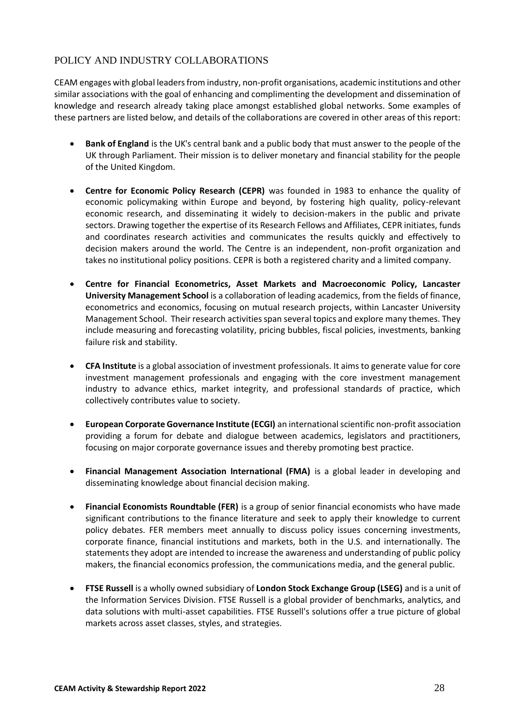## <span id="page-27-0"></span>POLICY AND INDUSTRY COLLABORATIONS

CEAM engages with global leaders from industry, non-profit organisations, academic institutions and other similar associations with the goal of enhancing and complimenting the development and dissemination of knowledge and research already taking place amongst established global networks. Some examples of these partners are listed below, and details of the collaborations are covered in other areas of this report:

- **Bank of England** is the UK's central bank and a public body that must answer to the people of the UK through Parliament. Their mission is to deliver monetary and financial stability for the people of the United Kingdom.
- **Centre for Economic Policy Research (CEPR)** was founded in 1983 to enhance the quality of economic policymaking within Europe and beyond, by fostering high quality, policy-relevant economic research, and disseminating it widely to decision-makers in the public and private sectors. Drawing together the expertise of its Research Fellows and Affiliates, CEPR initiates, funds and coordinates research activities and communicates the results quickly and effectively to decision makers around the world. The Centre is an independent, non-profit organization and takes no institutional policy positions. CEPR is both a registered charity and a limited company.
- **Centre for Financial Econometrics, Asset Markets and Macroeconomic Policy, Lancaster University Management School** is a collaboration of leading academics, from the fields of finance, econometrics and economics, focusing on mutual research projects, within Lancaster University Management School. Their research activities span several topics and explore many themes. They include measuring and forecasting volatility, pricing bubbles, fiscal policies, investments, banking failure risk and stability.
- **CFA Institute** is a global association of investment professionals. It aims to generate value for core investment management professionals and engaging with the core investment management industry to advance ethics, market integrity, and professional standards of practice, which collectively contributes value to society.
- **European Corporate Governance Institute (ECGI)** an international scientific non-profit association providing a forum for debate and dialogue between academics, legislators and practitioners, focusing on major corporate governance issues and thereby promoting best practice.
- **Financial Management Association International (FMA)** is a global leader in developing and disseminating knowledge about financial decision making.
- **Financial Economists Roundtable (FER)** is a group of senior financial economists who have made significant contributions to the finance literature and seek to apply their knowledge to current policy debates. FER members meet annually to discuss policy issues concerning investments, corporate finance, financial institutions and markets, both in the U.S. and internationally. The statements they adopt are intended to increase the awareness and understanding of public policy makers, the financial economics profession, the communications media, and the general public.
- **FTSE Russell** is a wholly owned subsidiary of **London Stock Exchange Group (LSEG)** and is a unit of the Information Services Division. FTSE Russell is a global provider of benchmarks, analytics, and data solutions with multi-asset capabilities. FTSE Russell's solutions offer a true picture of global markets across asset classes, styles, and strategies.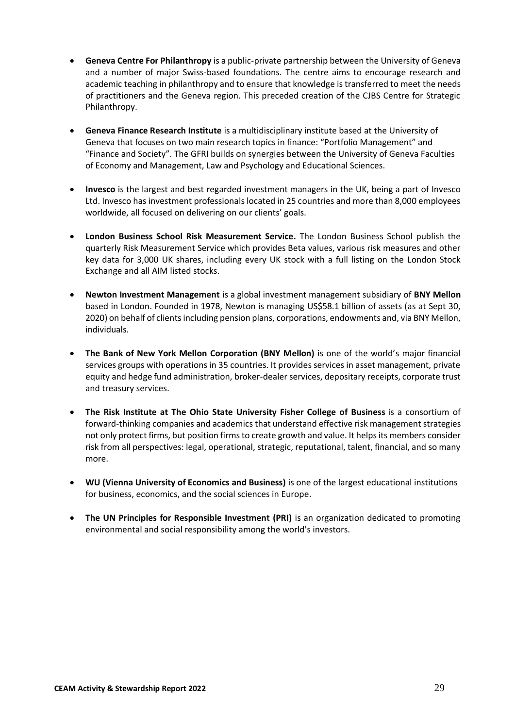- **Geneva Centre For Philanthropy** is a public-private partnership between the University of Geneva and a number of major Swiss-based foundations. The centre aims to encourage research and academic teaching in philanthropy and to ensure that knowledge is transferred to meet the needs of practitioners and the Geneva region. This preceded creation of the CJBS Centre for Strategic Philanthropy.
- **Geneva Finance Research Institute** is a multidisciplinary institute based at the University of Geneva that focuses on two main research topics in finance: "Portfolio Management" and "Finance and Society". The GFRI builds on synergies between the University of Geneva Faculties of Economy and Management, Law and Psychology and Educational Sciences.
- **Invesco** is the largest and best regarded investment managers in the UK, being a part of Invesco Ltd. Invesco has investment professionals located in 25 countries and more than 8,000 employees worldwide, all focused on delivering on our clients' goals.
- **London Business School Risk Measurement Service.** The London Business School publish the quarterly Risk Measurement Service which provides Beta values, various risk measures and other key data for 3,000 UK shares, including every UK stock with a full listing on the London Stock Exchange and all AIM listed stocks.
- **Newton Investment Management** is a global investment management subsidiary of **BNY Mellon** based in London. Founded in 1978, Newton is managing US\$58.1 billion of assets (as at Sept 30, 2020) on behalf of clients including pension plans, corporations, endowments and, via BNY Mellon, individuals.
- **The Bank of New York Mellon Corporation (BNY Mellon)** is one of the world's major financial services groups with operations in 35 countries. It provides services in asset management, private equity and hedge fund administration, broker-dealer services, depositary receipts, corporate trust and treasury services.
- **The Risk Institute at The Ohio State University Fisher College of Business** is a consortium of forward-thinking companies and academics that understand effective risk management strategies not only protect firms, but position firms to create growth and value. It helps its members consider risk from all perspectives: legal, operational, strategic, reputational, talent, financial, and so many more.
- **WU (Vienna University of Economics and Business)** is one of the largest educational institutions for business, economics, and the social sciences in Europe.
- **The UN Principles for Responsible Investment (PRI)** is an organization dedicated to promoting environmental and social responsibility among the world's investors.